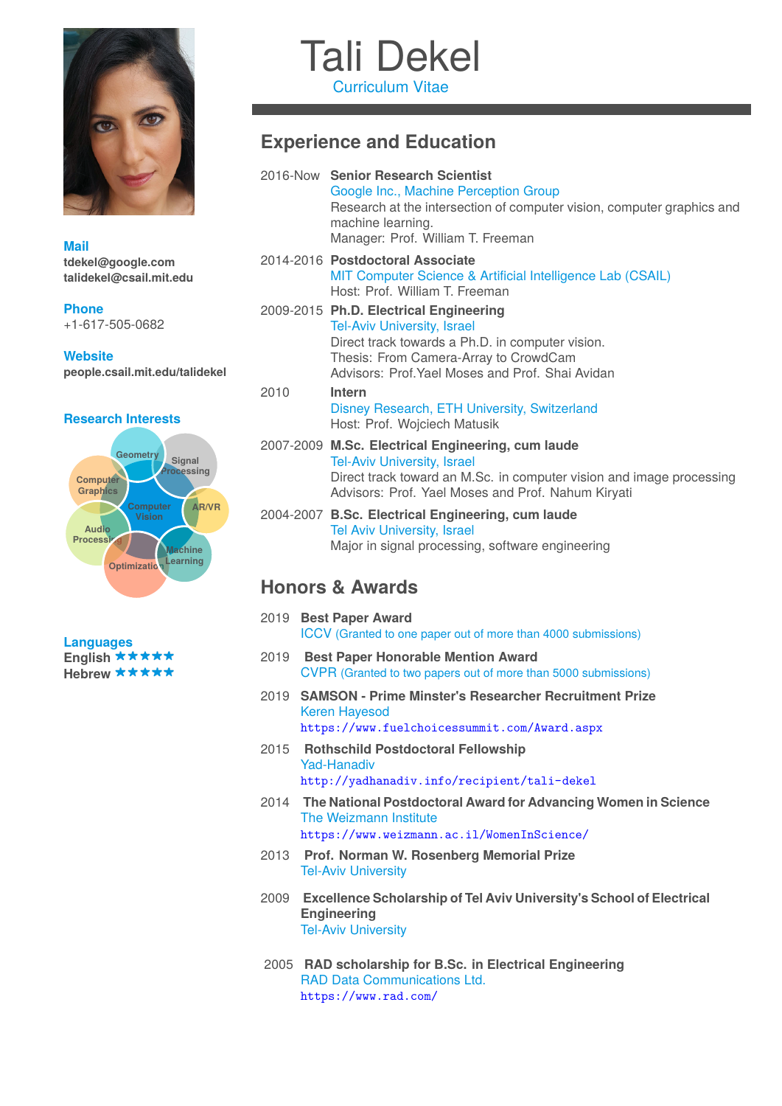

**Languages** English \*\*\*\*\* Hebrew \*\*\*\*\*

# Tali Dekel

Curriculum Vitae

## **Experience and Education**

| <b>Mail</b>                                                                                                                                                                                    |      | 2016-Now Senior Research Scientist<br>Google Inc., Machine Perception Group<br>Research at the intersection of computer vision, computer graphics and<br>machine learning.<br>Manager: Prof. William T. Freeman       |
|------------------------------------------------------------------------------------------------------------------------------------------------------------------------------------------------|------|-----------------------------------------------------------------------------------------------------------------------------------------------------------------------------------------------------------------------|
| tdekel@google.com<br>talidekel@csail.mit.edu                                                                                                                                                   |      | 2014-2016 Postdoctoral Associate<br>MIT Computer Science & Artificial Intelligence Lab (CSAIL)<br>Host: Prof. William T. Freeman                                                                                      |
| <b>Phone</b><br>+1-617-505-0682<br><b>Website</b>                                                                                                                                              |      | 2009-2015 Ph.D. Electrical Engineering<br><b>Tel-Aviv University, Israel</b><br>Direct track towards a Ph.D. in computer vision.                                                                                      |
| people.csail.mit.edu/talidekel                                                                                                                                                                 |      | Thesis: From Camera-Array to CrowdCam<br>Advisors: Prof. Yael Moses and Prof. Shai Avidan                                                                                                                             |
| <b>Research Interests</b>                                                                                                                                                                      | 2010 | Intern<br>Disney Research, ETH University, Switzerland<br>Host: Prof. Wojciech Matusik                                                                                                                                |
| Geometry<br>Signal<br>Processing<br><b>Computer</b><br><b>Graphics</b><br>AR/VR<br><b>Computer</b><br><b>Vision</b><br>Audio<br>Processin<br><b>Machine</b><br>Learning<br><b>Optimization</b> |      | 2007-2009 M.Sc. Electrical Engineering, cum laude<br><b>Tel-Aviv University, Israel</b><br>Direct track toward an M.Sc. in computer vision and image processing<br>Advisors: Prof. Yael Moses and Prof. Nahum Kiryati |
|                                                                                                                                                                                                |      | 2004-2007 B.Sc. Electrical Engineering, cum laude<br><b>Tel Aviv University, Israel</b><br>Major in signal processing, software engineering                                                                           |
|                                                                                                                                                                                                |      | <b>Honors &amp; Awards</b>                                                                                                                                                                                            |
| 1.000000000000                                                                                                                                                                                 |      | 2019 Best Paper Award<br><b>ICCV</b> (Granted to one paper out of more than 4000 submissions)                                                                                                                         |

- 2019 **Best Paper Honorable Mention Award** CVPR (Granted to two papers out of more than 5000 submissions)
- 2019 **SAMSON Prime Minster's Researcher Recruitment Prize** Keren Hayesod <https://www.fuelchoicessummit.com/Award.aspx>
- 2015 **Rothschild Postdoctoral Fellowship** Yad-Hanadiv <http://yadhanadiv.info/recipient/tali-dekel>
- 2014 **The National Postdoctoral Award for Advancing Women in Science** The Weizmann Institute <https://www.weizmann.ac.il/WomenInScience/>
- 2013 **Prof. Norman W. Rosenberg Memorial Prize** Tel-Aviv University
- 2009 **Excellence Scholarship of Tel Aviv University's School of Electrical Engineering** Tel-Aviv University
- 2005 **RAD scholarship for B.Sc. in Electrical Engineering** RAD Data Communications Ltd. <https://www.rad.com/>